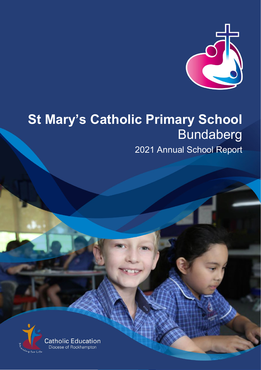

# **St Mary's Catholic Primary School Bundaberg**

2021 Annual School Report

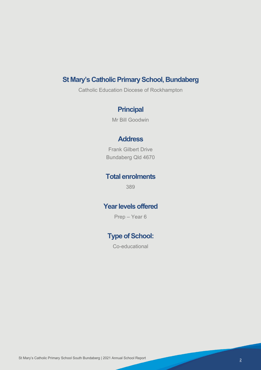# **St Mary's Catholic Primary School, Bundaberg**

Catholic Education Diocese of Rockhampton

# **Principal**

Mr Bill Goodwin

### **Address**

Frank Gilbert Drive Bundaberg Qld 4670

### **Total enrolments**

389

# **Year levels offered**

Prep – Year 6

# **Type of School:**

Co-educational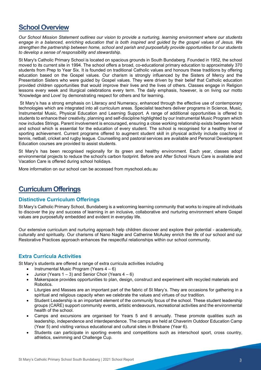### **School Overview**

*Our School Mission Statement outlines our vision to provide a nurturing, learning environment where our students engage in a balanced, enriching education that is both inspired and guided by the gospel values of Jesus. We strengthen the partnership between home, school and parish and purposefully provide opportunities for our students to develop a sense of responsibility and stewardship*.

St Mary's Catholic Primary School is located on spacious grounds in South Bundaberg. Founded in 1952, the school moved to its current site in 1994. The school offers a broad, co-educational primary education to approximately 370 students from Prep to Year Six. It is founded on traditional Catholic values and honours these traditions by offering education based on the Gospel values. Our charism is strongly influenced by the Sisters of Mercy and the Presentation Sisters who were guided by Gospel values. They were driven by their belief that Catholic education provided children opportunities that would improve their lives and the lives of others. Classes engage in Religion lessons every week and liturgical celebrations every term. The daily emphasis, however, is on living our motto 'Knowledge and Love' by demonstrating respect for others and for learning.

St Mary's has a strong emphasis on Literacy and Numeracy, enhanced through the effective use of contemporary technologies which are integrated into all curriculum areas. Specialist teachers deliver programs in Science, Music, Instrumental Music, Physical Education and Learning Support. A range of additional opportunities is offered to students to enhance their creativity, planning and self-discipline highlighted by our Instrumental Music Program which now includes Strings. Parent involvement is encouraged, ensuring a close working relationship exists between home and school which is essential for the education of every student. The school is recognised for a healthy level of sporting achievement. Current programs offered to augment student skill in physical activity include coaching in tennis, netball, cricket and rugby league. Counselling and pastoral services are available and Personal Development Education courses are provided to assist students.

St Mary's has been recognised regionally for its green and healthy environment. Each year, classes adopt environmental projects to reduce the school's carbon footprint. Before and After School Hours Care is available and Vacation Care is offered during school holidays.

More information on our school can be accessed from myschool.edu.au

# **Curriculum Offerings**

### **Distinctive Curriculum Offerings**

St Mary's Catholic Primary School, Bundaberg is a welcoming learning community that works to inspire all individuals to discover the joy and success of learning in an inclusive, collaborative and nurturing environment where Gospel values are purposefully embedded and evident in everyday life.

Our extensive curriculum and nurturing approach help children discover and explore their potential - academically, culturally and spiritually. Our charisms of Nano Nagle and Catherine McAuley enrich the life of our school and our Restorative Practices approach enhances the respectful relationships within our school community.

### **Extra Curricula Activities**

St Mary's students are offered a range of extra curricula activities including

- Instrumental Music Program (Years  $4-6$ )
- Junior (Years  $1 3$ ) and Senior Choir (Years  $4 6$ )
- Makerspace provides opportunities to plan, design, construct and experiment with recycled materials and Robotics.
- Liturgies and Masses are an important part of the fabric of St Mary's. They are occasions for gathering in a spiritual and religious capacity when we celebrate the values and virtues of our tradition.
- Student Leadership is an important element of the community focus of the school. These student leadership groups (CARE) support community events, artistic endeavours, recreational activities and the environmental health of the school.
- Camps and excursions are organised for Years 5 and 6 annually. These promote qualities such as leadership, independence and interdependence. The camps are held at Chaverim Outdoor Education Camp (Year 5) and visiting various educational and cultural sites in Brisbane (Year 6).
- Students can participate in sporting events and competitions such as interschool sport, cross country, athletics, swimming and Challenge Cup.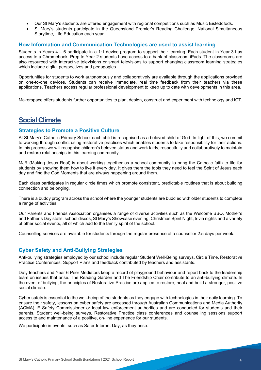- Our St Mary's students are offered engagement with regional competitions such as Music Eisteddfods.
- St Mary's students participate in the Queensland Premier's Reading Challenge, National Simultaneous Storytime, Life Education each year.

#### **How Information and Communication Technologies are used to assist learning**

Students in Years 4 – 6 participate in a 1:1 device program to support their learning. Each student in Year 3 has access to a Chromebook. Prep to Year 2 students have access to a bank of classroom iPads. The classrooms are also resourced with interactive televisions or smart televisions to support changing classroom learning strategies which include digital perspectives and pedagogies.

Opportunities for students to work autonomously and collaboratively are available through the applications provided on one-to-one devices. Students can receive immediate, real time feedback from their teachers via these applications. Teachers access regular professional development to keep up to date with developments in this area.

Makerspace offers students further opportunities to plan, design, construct and experiment with technology and ICT.

### **Social Climate**

#### **Strategies to Promote a Positive Culture**

At St Mary's Catholic Primary School each child is recognised as a beloved child of God. In light of this, we commit to working through conflict using restorative practices which enables students to take responsibility for their actions. In this process we will recognise children's beloved status and work fairly, respectfully and collaboratively to maintain and restore relationships in this learning community.

MJR (Making Jesus Real) is about working together as a school community to bring the Catholic faith to life for students by showing them how to live it every day. It gives them the tools they need to feel the Spirit of Jesus each day and find the God Moments that are always happening around them.

Each class participates in regular circle times which promote consistent, predictable routines that is about building connection and belonging.

There is a buddy program across the school where the younger students are buddied with older students to complete a range of activities.

Our Parents and Friends Association organises a range of diverse activities such as the Welcome BBQ, Mother's and Father's Day stalls, school discos, St Mary's Showcase evening, Christmas Spirit Night, trivia nights and a variety of other social events, all of which add to the family spirit of the school.

Counselling services are available for students through the regular presence of a counsellor 2.5 days per week.

### **Cyber Safety and Anti-Bullying Strategies**

Anti-bullying strategies employed by our school include regular Student Well-Being surveys, Circle Time, Restorative Practice Conferences, Support Plans and feedback contributed by teachers and assistants.

Duty teachers and Year 6 Peer Mediators keep a record of playground behaviour and report back to the leadership team on issues that arise. The Reading Garden and The Friendship Chair contribute to an anti-bullying climate. In the event of bullying, the principles of Restorative Practice are applied to restore, heal and build a stronger, positive social climate.

Cyber safety is essential to the well-being of the students as they engage with technologies in their daily learning. To ensure their safety, lessons on cyber safety are accessed through Australian Communications and Media Authority (ACMA), E Safety Commissioner or local law enforcement authorities and are conducted for students and their parents. Student well-being surveys, Restorative Practice class conferences and counselling sessions support access to and maintenance of a positive, on-line experience for our students.

We participate in events, such as Safer Internet Day, as they arise.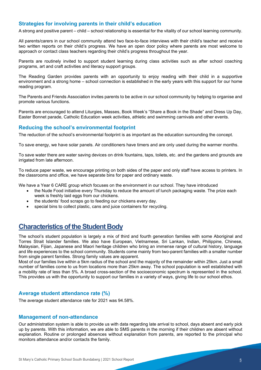#### **Strategies for involving parents in their child's education**

A strong and positive parent – child – school relationship is essential for the vitality of our school learning community.

All parents/carers in our school community attend two face-to-face interviews with their child's teacher and receive two written reports on their child's progress. We have an open door policy where parents are most welcome to approach or contact class teachers regarding their child's progress throughout the year.

Parents are routinely invited to support student learning during class activities such as after school coaching programs, art and craft activities and literacy support groups.

The Reading Garden provides parents with an opportunity to enjoy reading with their child in a supportive environment and a strong home – school connection is established in the early years with this support for our home reading program.

The Parents and Friends Association invites parents to be active in our school community by helping to organise and promote various functions.

Parents are encouraged to attend Liturgies, Masses, Book Week's "Share a Book in the Shade" and Dress Up Day, Easter Bonnet parade, Catholic Education week activities, athletic and swimming carnivals and other events.

#### **Reducing the school's environmental footprint**

The reduction of the school's environmental footprint is as important as the education surrounding the concept.

To save energy, we have solar panels. Air conditioners have timers and are only used during the warmer months.

To save water there are water saving devices on drink fountains, taps, toilets, etc. and the gardens and grounds are irrigated from late afternoon.

To reduce paper waste, we encourage printing on both sides of the paper and only staff have access to printers. In the classrooms and office, we have separate bins for paper and ordinary waste.

We have a Year 6 CARE group which focuses on the environment in our school. They have introduced

- the Nude Food initiative every Thursday to reduce the amount of lunch packaging waste. The prize each week is freshly laid eggs from our chickens.
- the students' food scraps go to feeding our chickens every day.
- special bins to collect plastic, cans and juice containers for recycling.

### **Characteristics of the Student Body**

The school's student population is largely a mix of third and fourth generation families with some Aboriginal and Torres Strait Islander families. We also have European, Vietnamese, Sri Lankan, Indian, Philippine, Chinese, Malaysian, Fijian, Japanese and Maori heritage children who bring an immense range of cultural history, language and life experiences to the school community. Students come mainly from two-parent families with a smaller number from single parent families. Strong family values are apparent.

Most of our families live within a 5km radius of the school and the majority of the remainder within 25km. Just a small number of families come to us from locations more than 25km away. The school population is well established with a mobility rate of less than 5%. A broad cross-section of the socioeconomic spectrum is represented in the school. This provides us with the opportunity to support our families in a variety of ways, giving life to our school ethos.

#### **Average student attendance rate (%)**

The average student attendance rate for 2021 was 94.58%.

#### **Management of non-attendance**

Our administration system is able to provide us with data regarding late arrival to school, days absent and early pick up by parents. With this information, we are able to SMS parents in the morning if their children are absent without explanation. Routine or prolonged absences without explanation from parents, are reported to the principal who monitors attendance and/or contacts the family.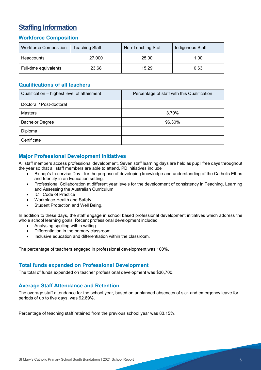# **Staffing Information**

### **Workforce Composition**

| <b>Workforce Composition</b> | <b>Teaching Staff</b> | Non-Teaching Staff | Indigenous Staff |
|------------------------------|-----------------------|--------------------|------------------|
| <b>Headcounts</b>            | 27,000                | 25.00              | 1.00             |
| Full-time equivalents        | 23.68                 | 15.29              | 0.63             |

### **Qualifications of all teachers**

| Qualification - highest level of attainment | Percentage of staff with this Qualification |
|---------------------------------------------|---------------------------------------------|
| Doctoral / Post-doctoral                    |                                             |
| <b>Masters</b>                              | 3.70%                                       |
| <b>Bachelor Degree</b>                      | 96.30%                                      |
| Diploma                                     |                                             |
| Certificate                                 |                                             |

### **Major Professional Development Initiatives**

All staff members access professional development. Seven staff learning days are held as pupil free days throughout the year so that all staff members are able to attend. PD initiatives include

- Bishop's In-service Day for the purpose of developing knowledge and understanding of the Catholic Ethos and Identity in an Education setting.
- Professional Collaboration at different year levels for the development of consistency in Teaching, Learning and Assessing the Australian Curriculum
- **ICT Code of Practice**
- Workplace Health and Safety
- Student Protection and Well Being.

In addition to these days, the staff engage in school based professional development initiatives which address the whole school learning goals. Recent professional development included

- Analysing spelling within writing
- Differentiation in the primary classroom
- Inclusive education and differentiation within the classroom.

The percentage of teachers engaged in professional development was 100%.

### **Total funds expended on Professional Development**

The total of funds expended on teacher professional development was \$36,700.

#### **Average Staff Attendance and Retention**

The average staff attendance for the school year, based on unplanned absences of sick and emergency leave for periods of up to five days, was 92.69%.

Percentage of teaching staff retained from the previous school year was 83.15%.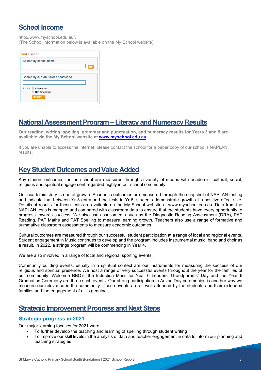# **School Income**

http://www.myschool.edu.au/.

(The School information below is available on the My School website).

| Find a school                      |    |
|------------------------------------|----|
| Search by school name              |    |
|                                    | GO |
| Search by suburb, town or postcode |    |
|                                    |    |
| Sector <b>Government</b>           |    |
| Non-government                     |    |
| <b>SEARCH</b>                      |    |
|                                    |    |
|                                    |    |

## **National Assessment Program – Literacy and Numeracy Results**

**Our reading, writing, spelling, grammar and punctuation, and numeracy results for Years 3 and 5 are available via the My School website at [www.myschool.edu.au.](http://www.myschool.edu.au/)** 

If you are unable to access the internet, please contact the school for a paper copy of our school's NAPLAN results.

# **Key Student Outcomes and Value Added**

Key student outcomes for the school are measured through a variety of means with academic, cultural, social, religious and spiritual engagement regarded highly in our school community.

Our academic story is one of growth. Academic outcomes are measured through the snapshot of NAPLAN testing and indicate that between Yr 3 entry and the tests in Yr 5, students demonstrate growth at a positive effect size. Details of results for these tests are available on the My School website at www.myschool.edu.au. Data from the NAPLAN tests is mapped and compared with classroom data to ensure that the students have every opportunity to progress towards success. We also use assessments such as the Diagnostic Reading Assessment (DRA), PAT Reading, PAT Maths and PAT Spelling to measure learning growth. Teachers also use a range of formative and summative classroom assessments to measure academic outcomes.

Cultural outcomes are measured through our successful student participation at a range of local and regional events. Student engagement in Music continues to develop and the program includes instrumental music, band and choir as a result. In 2022, a strings program will be commencing in Year 4.

We are also involved in a range of local and regional sporting events.

Community building events, usually in a spiritual context are our instruments for measuring the success of our religious and spiritual presence. We host a range of very successful events throughout the year for the families of our community: Welcome BBQ's, the Induction Mass for Year 6 Leaders, Grandparents' Day and the Year 6 Graduation Ceremony are three such events. Our strong participation in Anzac Day ceremonies is another way we measure our relevance in the community. These events are all well attended by the students and their extended families and the engagement of all is genuine.

### **Strategic Improvement Progress and Next Steps**

### **Strategic progress in 2021**

Our major learning focuses for 2021 were

- To further develop the teaching and learning of spelling through student writing
- To improve our skill levels in the analysis of data and teacher engagement in data to inform our planning and teaching strategies